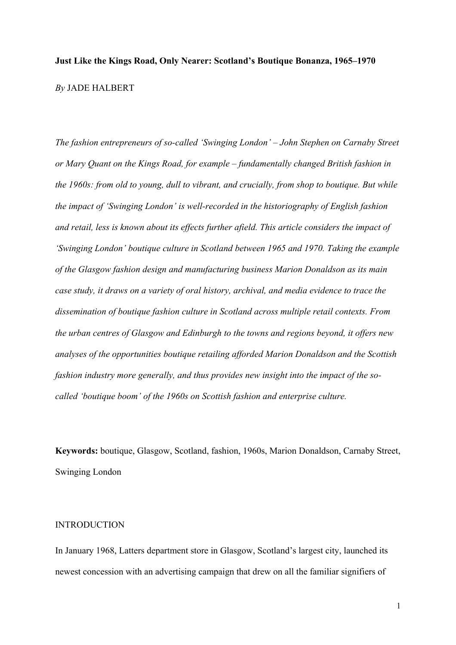# **Just Like the Kings Road, Only Nearer: Scotland's Boutique Bonanza, 1965–1970** *By* JADE HALBERT

*The fashion entrepreneurs of so-called 'Swinging London' – John Stephen on Carnaby Street or Mary Quant on the Kings Road, for example – fundamentally changed British fashion in the 1960s: from old to young, dull to vibrant, and crucially, from shop to boutique. But while the impact of 'Swinging London' is well-recorded in the historiography of English fashion and retail, less is known about its effects further afield. This article considers the impact of 'Swinging London' boutique culture in Scotland between 1965 and 1970. Taking the example of the Glasgow fashion design and manufacturing business Marion Donaldson as its main case study, it draws on a variety of oral history, archival, and media evidence to trace the dissemination of boutique fashion culture in Scotland across multiple retail contexts. From the urban centres of Glasgow and Edinburgh to the towns and regions beyond, it offers new analyses of the opportunities boutique retailing afforded Marion Donaldson and the Scottish fashion industry more generally, and thus provides new insight into the impact of the socalled 'boutique boom' of the 1960s on Scottish fashion and enterprise culture.*

**Keywords:** boutique, Glasgow, Scotland, fashion, 1960s, Marion Donaldson, Carnaby Street, Swinging London

# INTRODUCTION

In January 1968, Latters department store in Glasgow, Scotland's largest city, launched its newest concession with an advertising campaign that drew on all the familiar signifiers of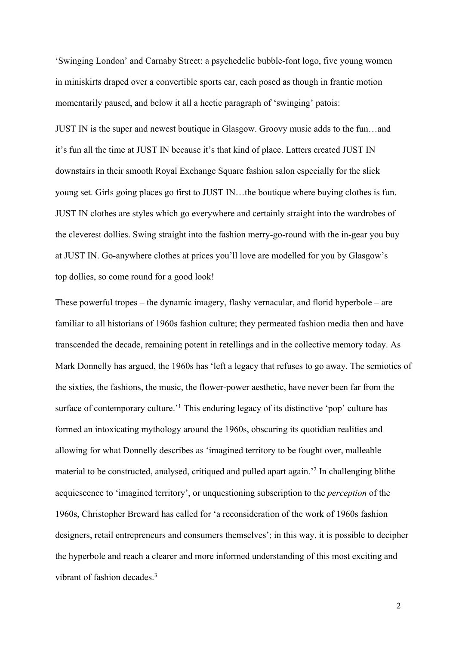'Swinging London' and Carnaby Street: a psychedelic bubble-font logo, five young women in miniskirts draped over a convertible sports car, each posed as though in frantic motion momentarily paused, and below it all a hectic paragraph of 'swinging' patois:

JUST IN is the super and newest boutique in Glasgow. Groovy music adds to the fun…and it's fun all the time at JUST IN because it's that kind of place. Latters created JUST IN downstairs in their smooth Royal Exchange Square fashion salon especially for the slick young set. Girls going places go first to JUST IN…the boutique where buying clothes is fun. JUST IN clothes are styles which go everywhere and certainly straight into the wardrobes of the cleverest dollies. Swing straight into the fashion merry-go-round with the in-gear you buy at JUST IN. Go-anywhere clothes at prices you'll love are modelled for you by Glasgow's top dollies, so come round for a good look!

These powerful tropes – the dynamic imagery, flashy vernacular, and florid hyperbole – are familiar to all historians of 1960s fashion culture; they permeated fashion media then and have transcended the decade, remaining potent in retellings and in the collective memory today. As Mark Donnelly has argued, the 1960s has 'left a legacy that refuses to go away. The semiotics of the sixties, the fashions, the music, the flower-power aesthetic, have never been far from the surface of contemporary culture.<sup>1</sup> This enduring legacy of its distinctive 'pop' culture has formed an intoxicating mythology around the 1960s, obscuring its quotidian realities and allowing for what Donnelly describes as 'imagined territory to be fought over, malleable material to be constructed, analysed, critiqued and pulled apart again.'2 In challenging blithe acquiescence to 'imagined territory', or unquestioning subscription to the *perception* of the 1960s, Christopher Breward has called for 'a reconsideration of the work of 1960s fashion designers, retail entrepreneurs and consumers themselves'; in this way, it is possible to decipher the hyperbole and reach a clearer and more informed understanding of this most exciting and vibrant of fashion decades.<sup>3</sup>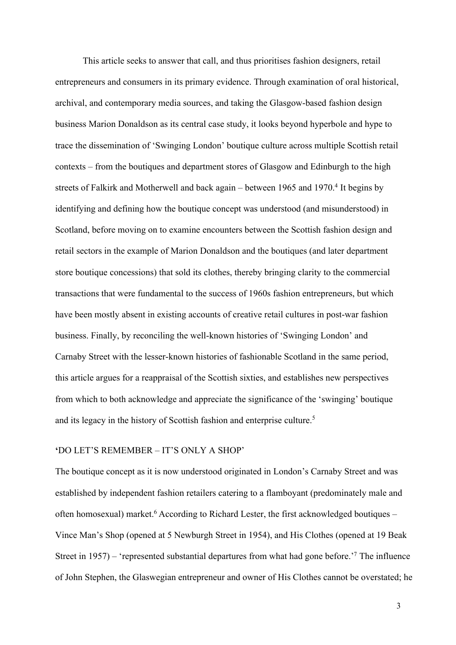This article seeks to answer that call, and thus prioritises fashion designers, retail entrepreneurs and consumers in its primary evidence. Through examination of oral historical, archival, and contemporary media sources, and taking the Glasgow-based fashion design business Marion Donaldson as its central case study, it looks beyond hyperbole and hype to trace the dissemination of 'Swinging London' boutique culture across multiple Scottish retail contexts – from the boutiques and department stores of Glasgow and Edinburgh to the high streets of Falkirk and Motherwell and back again – between  $1965$  and  $1970<sup>4</sup>$  It begins by identifying and defining how the boutique concept was understood (and misunderstood) in Scotland, before moving on to examine encounters between the Scottish fashion design and retail sectors in the example of Marion Donaldson and the boutiques (and later department store boutique concessions) that sold its clothes, thereby bringing clarity to the commercial transactions that were fundamental to the success of 1960s fashion entrepreneurs, but which have been mostly absent in existing accounts of creative retail cultures in post-war fashion business. Finally, by reconciling the well-known histories of 'Swinging London' and Carnaby Street with the lesser-known histories of fashionable Scotland in the same period, this article argues for a reappraisal of the Scottish sixties, and establishes new perspectives from which to both acknowledge and appreciate the significance of the 'swinging' boutique and its legacy in the history of Scottish fashion and enterprise culture.<sup>5</sup>

# **'**DO LET'S REMEMBER – IT'S ONLY A SHOP'

The boutique concept as it is now understood originated in London's Carnaby Street and was established by independent fashion retailers catering to a flamboyant (predominately male and often homosexual) market.<sup>6</sup> According to Richard Lester, the first acknowledged boutiques – Vince Man's Shop (opened at 5 Newburgh Street in 1954), and His Clothes (opened at 19 Beak Street in 1957) – 'represented substantial departures from what had gone before.'7 The influence of John Stephen, the Glaswegian entrepreneur and owner of His Clothes cannot be overstated; he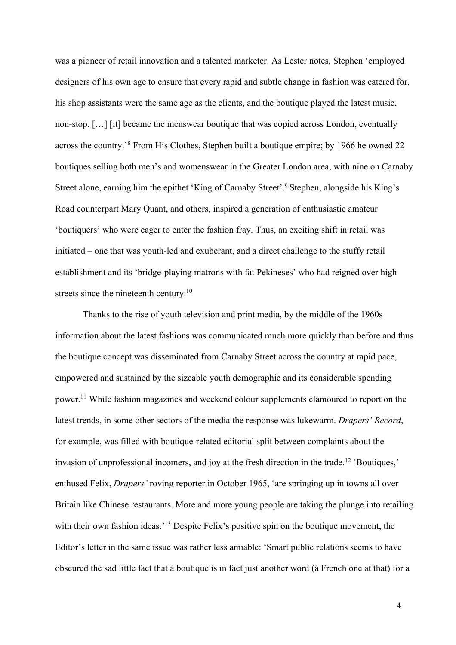was a pioneer of retail innovation and a talented marketer. As Lester notes, Stephen 'employed designers of his own age to ensure that every rapid and subtle change in fashion was catered for, his shop assistants were the same age as the clients, and the boutique played the latest music, non-stop. […] [it] became the menswear boutique that was copied across London, eventually across the country.'8 From His Clothes, Stephen built a boutique empire; by 1966 he owned 22 boutiques selling both men's and womenswear in the Greater London area, with nine on Carnaby Street alone, earning him the epithet 'King of Carnaby Street'.<sup>9</sup> Stephen, alongside his King's Road counterpart Mary Quant, and others, inspired a generation of enthusiastic amateur 'boutiquers' who were eager to enter the fashion fray. Thus, an exciting shift in retail was initiated – one that was youth-led and exuberant, and a direct challenge to the stuffy retail establishment and its 'bridge-playing matrons with fat Pekineses' who had reigned over high streets since the nineteenth century.<sup>10</sup>

Thanks to the rise of youth television and print media, by the middle of the 1960s information about the latest fashions was communicated much more quickly than before and thus the boutique concept was disseminated from Carnaby Street across the country at rapid pace, empowered and sustained by the sizeable youth demographic and its considerable spending power.11 While fashion magazines and weekend colour supplements clamoured to report on the latest trends, in some other sectors of the media the response was lukewarm. *Drapers' Record*, for example, was filled with boutique-related editorial split between complaints about the invasion of unprofessional incomers, and joy at the fresh direction in the trade.12 'Boutiques,' enthused Felix, *Drapers'* roving reporter in October 1965, 'are springing up in towns all over Britain like Chinese restaurants. More and more young people are taking the plunge into retailing with their own fashion ideas.<sup>'13</sup> Despite Felix's positive spin on the boutique movement, the Editor's letter in the same issue was rather less amiable: 'Smart public relations seems to have obscured the sad little fact that a boutique is in fact just another word (a French one at that) for a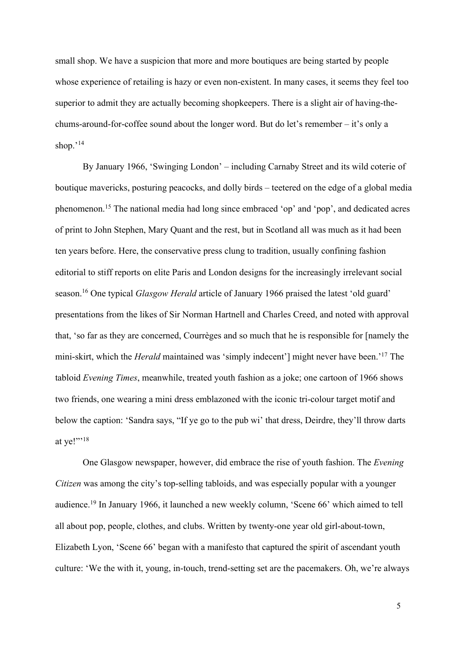small shop. We have a suspicion that more and more boutiques are being started by people whose experience of retailing is hazy or even non-existent. In many cases, it seems they feel too superior to admit they are actually becoming shopkeepers. There is a slight air of having-thechums-around-for-coffee sound about the longer word. But do let's remember – it's only a shop. $14$ 

By January 1966, 'Swinging London' – including Carnaby Street and its wild coterie of boutique mavericks, posturing peacocks, and dolly birds – teetered on the edge of a global media phenomenon.15 The national media had long since embraced 'op' and 'pop', and dedicated acres of print to John Stephen, Mary Quant and the rest, but in Scotland all was much as it had been ten years before. Here, the conservative press clung to tradition, usually confining fashion editorial to stiff reports on elite Paris and London designs for the increasingly irrelevant social season.16 One typical *Glasgow Herald* article of January 1966 praised the latest 'old guard' presentations from the likes of Sir Norman Hartnell and Charles Creed, and noted with approval that, 'so far as they are concerned, Courrèges and so much that he is responsible for [namely the mini-skirt, which the *Herald* maintained was 'simply indecent'] might never have been.'17 The tabloid *Evening Times*, meanwhile, treated youth fashion as a joke; one cartoon of 1966 shows two friends, one wearing a mini dress emblazoned with the iconic tri-colour target motif and below the caption: 'Sandra says, "If ye go to the pub wi' that dress, Deirdre, they'll throw darts at ye!"'<sup>18</sup>

One Glasgow newspaper, however, did embrace the rise of youth fashion. The *Evening Citizen* was among the city's top-selling tabloids, and was especially popular with a younger audience.19 In January 1966, it launched a new weekly column, 'Scene 66' which aimed to tell all about pop, people, clothes, and clubs. Written by twenty-one year old girl-about-town, Elizabeth Lyon, 'Scene 66' began with a manifesto that captured the spirit of ascendant youth culture: 'We the with it, young, in-touch, trend-setting set are the pacemakers. Oh, we're always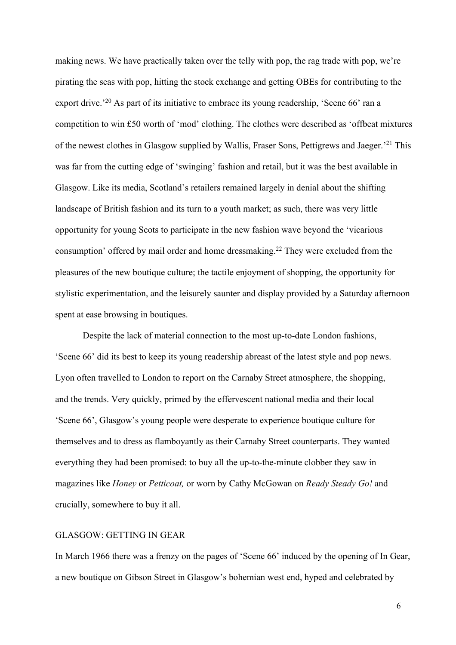making news. We have practically taken over the telly with pop, the rag trade with pop, we're pirating the seas with pop, hitting the stock exchange and getting OBEs for contributing to the export drive.<sup>'20</sup> As part of its initiative to embrace its young readership, 'Scene 66' ran a competition to win £50 worth of 'mod' clothing. The clothes were described as 'offbeat mixtures of the newest clothes in Glasgow supplied by Wallis, Fraser Sons, Pettigrews and Jaeger.'21 This was far from the cutting edge of 'swinging' fashion and retail, but it was the best available in Glasgow. Like its media, Scotland's retailers remained largely in denial about the shifting landscape of British fashion and its turn to a youth market; as such, there was very little opportunity for young Scots to participate in the new fashion wave beyond the 'vicarious consumption' offered by mail order and home dressmaking.<sup>22</sup> They were excluded from the pleasures of the new boutique culture; the tactile enjoyment of shopping, the opportunity for stylistic experimentation, and the leisurely saunter and display provided by a Saturday afternoon spent at ease browsing in boutiques.

Despite the lack of material connection to the most up-to-date London fashions, 'Scene 66' did its best to keep its young readership abreast of the latest style and pop news. Lyon often travelled to London to report on the Carnaby Street atmosphere, the shopping, and the trends. Very quickly, primed by the effervescent national media and their local 'Scene 66', Glasgow's young people were desperate to experience boutique culture for themselves and to dress as flamboyantly as their Carnaby Street counterparts. They wanted everything they had been promised: to buy all the up-to-the-minute clobber they saw in magazines like *Honey* or *Petticoat,* or worn by Cathy McGowan on *Ready Steady Go!* and crucially, somewhere to buy it all.

# GLASGOW: GETTING IN GEAR

In March 1966 there was a frenzy on the pages of 'Scene 66' induced by the opening of In Gear, a new boutique on Gibson Street in Glasgow's bohemian west end, hyped and celebrated by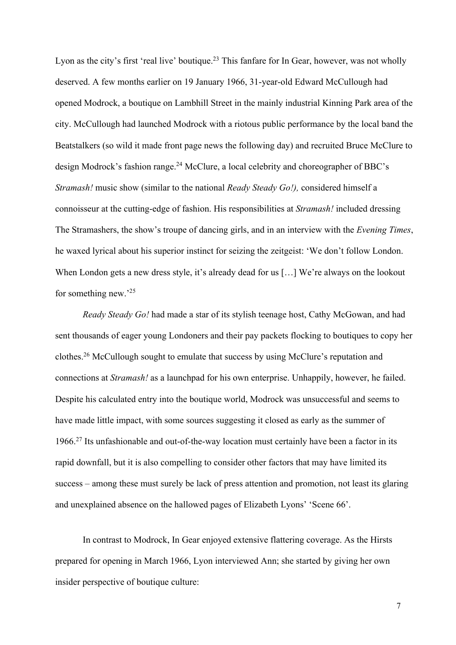Lyon as the city's first 'real live' boutique.<sup>23</sup> This fanfare for In Gear, however, was not wholly deserved. A few months earlier on 19 January 1966, 31-year-old Edward McCullough had opened Modrock, a boutique on Lambhill Street in the mainly industrial Kinning Park area of the city. McCullough had launched Modrock with a riotous public performance by the local band the Beatstalkers (so wild it made front page news the following day) and recruited Bruce McClure to design Modrock's fashion range.<sup>24</sup> McClure, a local celebrity and choreographer of BBC's *Stramash!* music show (similar to the national *Ready Steady Go!),* considered himself a connoisseur at the cutting-edge of fashion. His responsibilities at *Stramash!* included dressing The Stramashers, the show's troupe of dancing girls, and in an interview with the *Evening Times*, he waxed lyrical about his superior instinct for seizing the zeitgeist: 'We don't follow London. When London gets a new dress style, it's already dead for us [...] We're always on the lookout for something new.'25

*Ready Steady Go!* had made a star of its stylish teenage host, Cathy McGowan, and had sent thousands of eager young Londoners and their pay packets flocking to boutiques to copy her clothes.<sup>26</sup> McCullough sought to emulate that success by using McClure's reputation and connections at *Stramash!* as a launchpad for his own enterprise. Unhappily, however, he failed. Despite his calculated entry into the boutique world, Modrock was unsuccessful and seems to have made little impact, with some sources suggesting it closed as early as the summer of 1966. <sup>27</sup> Its unfashionable and out-of-the-way location must certainly have been a factor in its rapid downfall, but it is also compelling to consider other factors that may have limited its success – among these must surely be lack of press attention and promotion, not least its glaring and unexplained absence on the hallowed pages of Elizabeth Lyons' 'Scene 66'.

In contrast to Modrock, In Gear enjoyed extensive flattering coverage. As the Hirsts prepared for opening in March 1966, Lyon interviewed Ann; she started by giving her own insider perspective of boutique culture: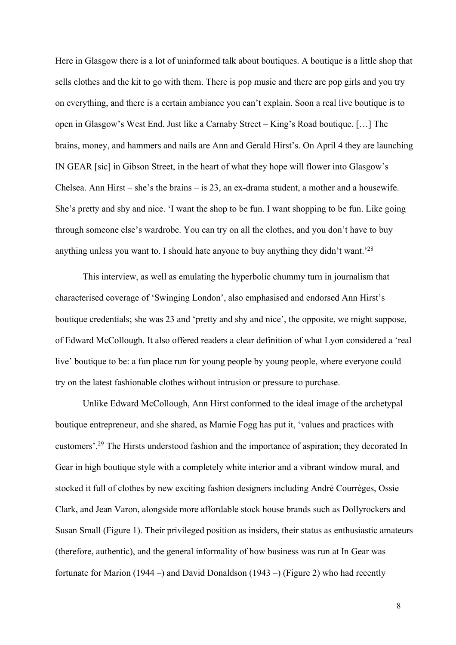Here in Glasgow there is a lot of uninformed talk about boutiques. A boutique is a little shop that sells clothes and the kit to go with them. There is pop music and there are pop girls and you try on everything, and there is a certain ambiance you can't explain. Soon a real live boutique is to open in Glasgow's West End. Just like a Carnaby Street – King's Road boutique. […] The brains, money, and hammers and nails are Ann and Gerald Hirst's. On April 4 they are launching IN GEAR [sic] in Gibson Street, in the heart of what they hope will flower into Glasgow's Chelsea. Ann Hirst – she's the brains – is 23, an ex-drama student, a mother and a housewife. She's pretty and shy and nice. 'I want the shop to be fun. I want shopping to be fun. Like going through someone else's wardrobe. You can try on all the clothes, and you don't have to buy anything unless you want to. I should hate anyone to buy anything they didn't want.'28

This interview, as well as emulating the hyperbolic chummy turn in journalism that characterised coverage of 'Swinging London', also emphasised and endorsed Ann Hirst's boutique credentials; she was 23 and 'pretty and shy and nice', the opposite, we might suppose, of Edward McCollough. It also offered readers a clear definition of what Lyon considered a 'real live' boutique to be: a fun place run for young people by young people, where everyone could try on the latest fashionable clothes without intrusion or pressure to purchase.

Unlike Edward McCollough, Ann Hirst conformed to the ideal image of the archetypal boutique entrepreneur, and she shared, as Marnie Fogg has put it, 'values and practices with customers'.29 The Hirsts understood fashion and the importance of aspiration; they decorated In Gear in high boutique style with a completely white interior and a vibrant window mural, and stocked it full of clothes by new exciting fashion designers including André Courrèges, Ossie Clark, and Jean Varon, alongside more affordable stock house brands such as Dollyrockers and Susan Small (Figure 1). Their privileged position as insiders, their status as enthusiastic amateurs (therefore, authentic), and the general informality of how business was run at In Gear was fortunate for Marion (1944 –) and David Donaldson (1943 –) (Figure 2) who had recently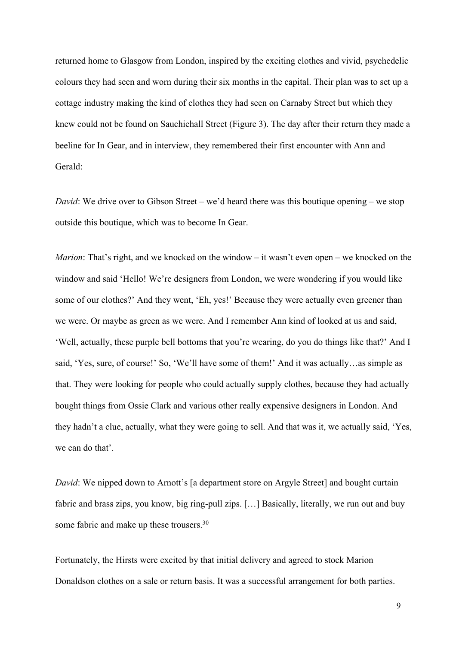returned home to Glasgow from London, inspired by the exciting clothes and vivid, psychedelic colours they had seen and worn during their six months in the capital. Their plan was to set up a cottage industry making the kind of clothes they had seen on Carnaby Street but which they knew could not be found on Sauchiehall Street (Figure 3). The day after their return they made a beeline for In Gear, and in interview, they remembered their first encounter with Ann and Gerald:

*David*: We drive over to Gibson Street – we'd heard there was this boutique opening – we stop outside this boutique, which was to become In Gear.

*Marion*: That's right, and we knocked on the window – it wasn't even open – we knocked on the window and said 'Hello! We're designers from London, we were wondering if you would like some of our clothes?' And they went, 'Eh, yes!' Because they were actually even greener than we were. Or maybe as green as we were. And I remember Ann kind of looked at us and said, 'Well, actually, these purple bell bottoms that you're wearing, do you do things like that?' And I said, 'Yes, sure, of course!' So, 'We'll have some of them!' And it was actually…as simple as that. They were looking for people who could actually supply clothes, because they had actually bought things from Ossie Clark and various other really expensive designers in London. And they hadn't a clue, actually, what they were going to sell. And that was it, we actually said, 'Yes, we can do that'.

*David*: We nipped down to Arnott's [a department store on Argyle Street] and bought curtain fabric and brass zips, you know, big ring-pull zips. […] Basically, literally, we run out and buy some fabric and make up these trousers.<sup>30</sup>

Fortunately, the Hirsts were excited by that initial delivery and agreed to stock Marion Donaldson clothes on a sale or return basis. It was a successful arrangement for both parties.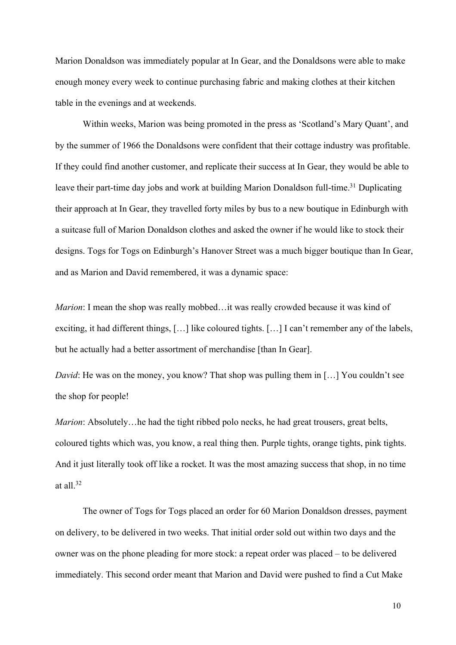Marion Donaldson was immediately popular at In Gear, and the Donaldsons were able to make enough money every week to continue purchasing fabric and making clothes at their kitchen table in the evenings and at weekends.

Within weeks, Marion was being promoted in the press as 'Scotland's Mary Quant', and by the summer of 1966 the Donaldsons were confident that their cottage industry was profitable. If they could find another customer, and replicate their success at In Gear, they would be able to leave their part-time day jobs and work at building Marion Donaldson full-time.<sup>31</sup> Duplicating their approach at In Gear, they travelled forty miles by bus to a new boutique in Edinburgh with a suitcase full of Marion Donaldson clothes and asked the owner if he would like to stock their designs. Togs for Togs on Edinburgh's Hanover Street was a much bigger boutique than In Gear, and as Marion and David remembered, it was a dynamic space:

*Marion*: I mean the shop was really mobbed...it was really crowded because it was kind of exciting, it had different things, […] like coloured tights. […] I can't remember any of the labels, but he actually had a better assortment of merchandise [than In Gear].

*David*: He was on the money, you know? That shop was pulling them in [...] You couldn't see the shop for people!

*Marion*: Absolutely...he had the tight ribbed polo necks, he had great trousers, great belts, coloured tights which was, you know, a real thing then. Purple tights, orange tights, pink tights. And it just literally took off like a rocket. It was the most amazing success that shop, in no time at all $^{32}$ 

The owner of Togs for Togs placed an order for 60 Marion Donaldson dresses, payment on delivery, to be delivered in two weeks. That initial order sold out within two days and the owner was on the phone pleading for more stock: a repeat order was placed – to be delivered immediately. This second order meant that Marion and David were pushed to find a Cut Make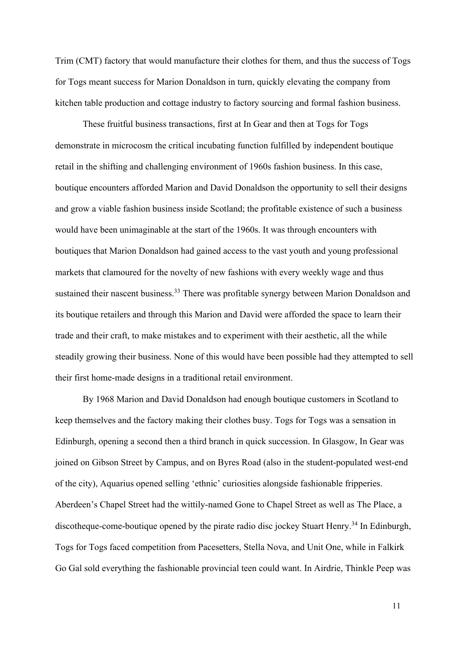Trim (CMT) factory that would manufacture their clothes for them, and thus the success of Togs for Togs meant success for Marion Donaldson in turn, quickly elevating the company from kitchen table production and cottage industry to factory sourcing and formal fashion business.

These fruitful business transactions, first at In Gear and then at Togs for Togs demonstrate in microcosm the critical incubating function fulfilled by independent boutique retail in the shifting and challenging environment of 1960s fashion business. In this case, boutique encounters afforded Marion and David Donaldson the opportunity to sell their designs and grow a viable fashion business inside Scotland; the profitable existence of such a business would have been unimaginable at the start of the 1960s. It was through encounters with boutiques that Marion Donaldson had gained access to the vast youth and young professional markets that clamoured for the novelty of new fashions with every weekly wage and thus sustained their nascent business.<sup>33</sup> There was profitable synergy between Marion Donaldson and its boutique retailers and through this Marion and David were afforded the space to learn their trade and their craft, to make mistakes and to experiment with their aesthetic, all the while steadily growing their business. None of this would have been possible had they attempted to sell their first home-made designs in a traditional retail environment.

By 1968 Marion and David Donaldson had enough boutique customers in Scotland to keep themselves and the factory making their clothes busy. Togs for Togs was a sensation in Edinburgh, opening a second then a third branch in quick succession. In Glasgow, In Gear was joined on Gibson Street by Campus, and on Byres Road (also in the student-populated west-end of the city), Aquarius opened selling 'ethnic' curiosities alongside fashionable fripperies. Aberdeen's Chapel Street had the wittily-named Gone to Chapel Street as well as The Place, a discotheque-come-boutique opened by the pirate radio disc jockey Stuart Henry.<sup>34</sup> In Edinburgh, Togs for Togs faced competition from Pacesetters, Stella Nova, and Unit One, while in Falkirk Go Gal sold everything the fashionable provincial teen could want. In Airdrie, Thinkle Peep was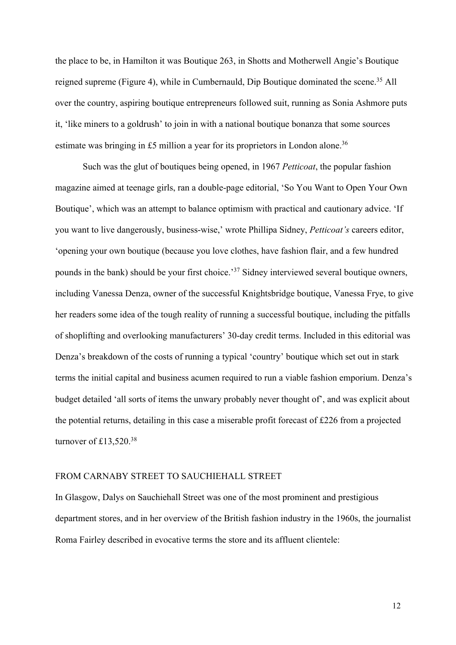the place to be, in Hamilton it was Boutique 263, in Shotts and Motherwell Angie's Boutique reigned supreme (Figure 4), while in Cumbernauld, Dip Boutique dominated the scene.<sup>35</sup> All over the country, aspiring boutique entrepreneurs followed suit, running as Sonia Ashmore puts it, 'like miners to a goldrush' to join in with a national boutique bonanza that some sources estimate was bringing in £5 million a year for its proprietors in London alone.<sup>36</sup>

Such was the glut of boutiques being opened, in 1967 *Petticoat*, the popular fashion magazine aimed at teenage girls, ran a double-page editorial, 'So You Want to Open Your Own Boutique', which was an attempt to balance optimism with practical and cautionary advice. 'If you want to live dangerously, business-wise,' wrote Phillipa Sidney, *Petticoat's* careers editor, 'opening your own boutique (because you love clothes, have fashion flair, and a few hundred pounds in the bank) should be your first choice.'37 Sidney interviewed several boutique owners, including Vanessa Denza, owner of the successful Knightsbridge boutique, Vanessa Frye, to give her readers some idea of the tough reality of running a successful boutique, including the pitfalls of shoplifting and overlooking manufacturers' 30-day credit terms. Included in this editorial was Denza's breakdown of the costs of running a typical 'country' boutique which set out in stark terms the initial capital and business acumen required to run a viable fashion emporium. Denza's budget detailed 'all sorts of items the unwary probably never thought of', and was explicit about the potential returns, detailing in this case a miserable profit forecast of £226 from a projected turnover of  $£13,520.<sup>38</sup>$ 

# FROM CARNABY STREET TO SAUCHIEHALL STREET

In Glasgow, Dalys on Sauchiehall Street was one of the most prominent and prestigious department stores, and in her overview of the British fashion industry in the 1960s, the journalist Roma Fairley described in evocative terms the store and its affluent clientele: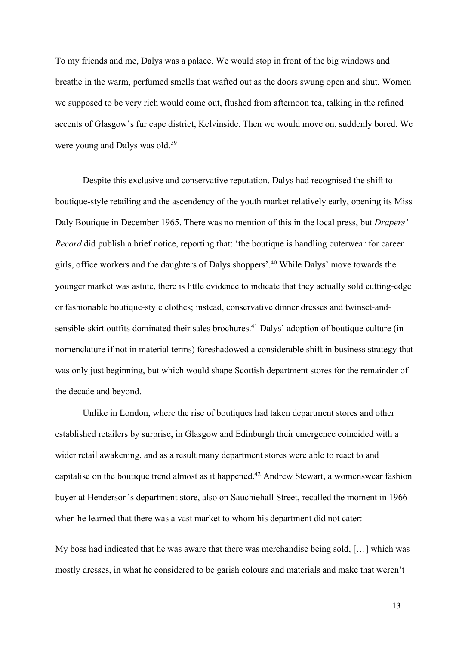To my friends and me, Dalys was a palace. We would stop in front of the big windows and breathe in the warm, perfumed smells that wafted out as the doors swung open and shut. Women we supposed to be very rich would come out, flushed from afternoon tea, talking in the refined accents of Glasgow's fur cape district, Kelvinside. Then we would move on, suddenly bored. We were young and Dalys was old.<sup>39</sup>

Despite this exclusive and conservative reputation, Dalys had recognised the shift to boutique-style retailing and the ascendency of the youth market relatively early, opening its Miss Daly Boutique in December 1965. There was no mention of this in the local press, but *Drapers' Record* did publish a brief notice, reporting that: 'the boutique is handling outerwear for career girls, office workers and the daughters of Dalys shoppers'. <sup>40</sup> While Dalys' move towards the younger market was astute, there is little evidence to indicate that they actually sold cutting-edge or fashionable boutique-style clothes; instead, conservative dinner dresses and twinset-andsensible-skirt outfits dominated their sales brochures.<sup>41</sup> Dalys' adoption of boutique culture (in nomenclature if not in material terms) foreshadowed a considerable shift in business strategy that was only just beginning, but which would shape Scottish department stores for the remainder of the decade and beyond.

Unlike in London, where the rise of boutiques had taken department stores and other established retailers by surprise, in Glasgow and Edinburgh their emergence coincided with a wider retail awakening, and as a result many department stores were able to react to and capitalise on the boutique trend almost as it happened.42 Andrew Stewart, a womenswear fashion buyer at Henderson's department store, also on Sauchiehall Street, recalled the moment in 1966 when he learned that there was a vast market to whom his department did not cater:

My boss had indicated that he was aware that there was merchandise being sold, […] which was mostly dresses, in what he considered to be garish colours and materials and make that weren't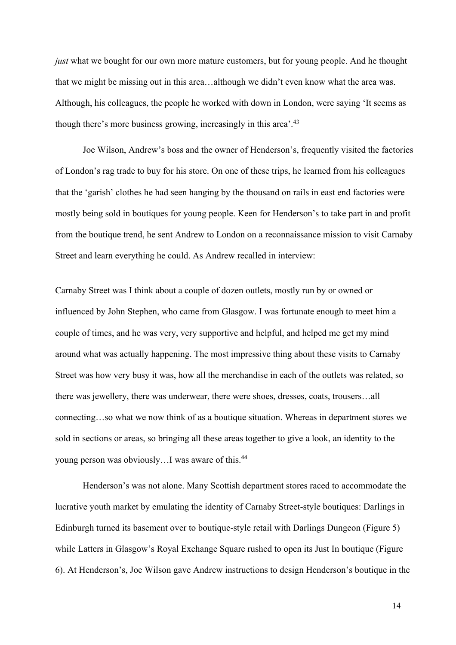*just* what we bought for our own more mature customers, but for young people. And he thought that we might be missing out in this area…although we didn't even know what the area was. Although, his colleagues, the people he worked with down in London, were saying 'It seems as though there's more business growing, increasingly in this area'.<sup>43</sup>

Joe Wilson, Andrew's boss and the owner of Henderson's, frequently visited the factories of London's rag trade to buy for his store. On one of these trips, he learned from his colleagues that the 'garish' clothes he had seen hanging by the thousand on rails in east end factories were mostly being sold in boutiques for young people. Keen for Henderson's to take part in and profit from the boutique trend, he sent Andrew to London on a reconnaissance mission to visit Carnaby Street and learn everything he could. As Andrew recalled in interview:

Carnaby Street was I think about a couple of dozen outlets, mostly run by or owned or influenced by John Stephen, who came from Glasgow. I was fortunate enough to meet him a couple of times, and he was very, very supportive and helpful, and helped me get my mind around what was actually happening. The most impressive thing about these visits to Carnaby Street was how very busy it was, how all the merchandise in each of the outlets was related, so there was jewellery, there was underwear, there were shoes, dresses, coats, trousers…all connecting…so what we now think of as a boutique situation. Whereas in department stores we sold in sections or areas, so bringing all these areas together to give a look, an identity to the young person was obviously…I was aware of this.44

Henderson's was not alone. Many Scottish department stores raced to accommodate the lucrative youth market by emulating the identity of Carnaby Street-style boutiques: Darlings in Edinburgh turned its basement over to boutique-style retail with Darlings Dungeon (Figure 5) while Latters in Glasgow's Royal Exchange Square rushed to open its Just In boutique (Figure 6). At Henderson's, Joe Wilson gave Andrew instructions to design Henderson's boutique in the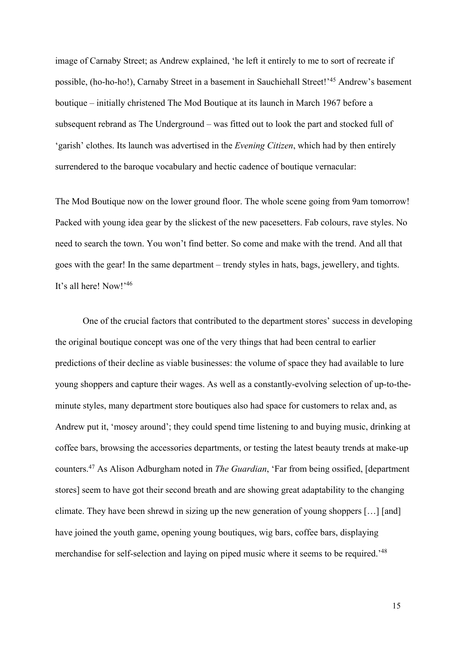image of Carnaby Street; as Andrew explained, 'he left it entirely to me to sort of recreate if possible, (ho-ho-ho!), Carnaby Street in a basement in Sauchiehall Street!'45 Andrew's basement boutique – initially christened The Mod Boutique at its launch in March 1967 before a subsequent rebrand as The Underground – was fitted out to look the part and stocked full of 'garish' clothes. Its launch was advertised in the *Evening Citizen*, which had by then entirely surrendered to the baroque vocabulary and hectic cadence of boutique vernacular:

The Mod Boutique now on the lower ground floor. The whole scene going from 9am tomorrow! Packed with young idea gear by the slickest of the new pacesetters. Fab colours, rave styles. No need to search the town. You won't find better. So come and make with the trend. And all that goes with the gear! In the same department – trendy styles in hats, bags, jewellery, and tights. It's all here! Now!' 46

One of the crucial factors that contributed to the department stores' success in developing the original boutique concept was one of the very things that had been central to earlier predictions of their decline as viable businesses: the volume of space they had available to lure young shoppers and capture their wages. As well as a constantly-evolving selection of up-to-theminute styles, many department store boutiques also had space for customers to relax and, as Andrew put it, 'mosey around'; they could spend time listening to and buying music, drinking at coffee bars, browsing the accessories departments, or testing the latest beauty trends at make-up counters.47 As Alison Adburgham noted in *The Guardian*, 'Far from being ossified, [department stores] seem to have got their second breath and are showing great adaptability to the changing climate. They have been shrewd in sizing up the new generation of young shoppers […] [and] have joined the youth game, opening young boutiques, wig bars, coffee bars, displaying merchandise for self-selection and laying on piped music where it seems to be required.'48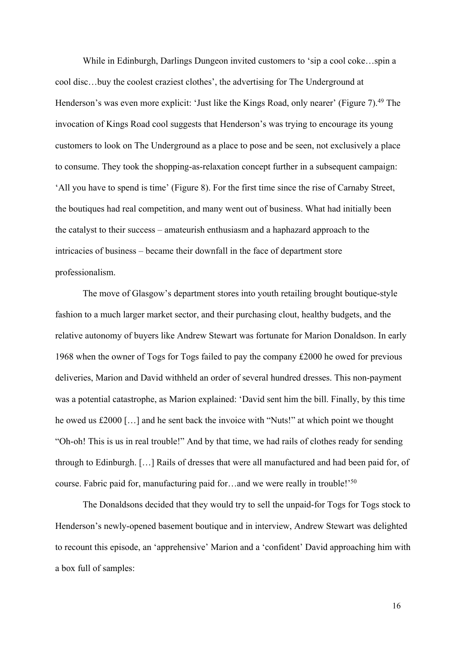While in Edinburgh, Darlings Dungeon invited customers to 'sip a cool coke…spin a cool disc…buy the coolest craziest clothes', the advertising for The Underground at Henderson's was even more explicit: 'Just like the Kings Road, only nearer' (Figure 7).<sup>49</sup> The invocation of Kings Road cool suggests that Henderson's was trying to encourage its young customers to look on The Underground as a place to pose and be seen, not exclusively a place to consume. They took the shopping-as-relaxation concept further in a subsequent campaign: 'All you have to spend is time' (Figure 8). For the first time since the rise of Carnaby Street, the boutiques had real competition, and many went out of business. What had initially been the catalyst to their success – amateurish enthusiasm and a haphazard approach to the intricacies of business – became their downfall in the face of department store professionalism.

The move of Glasgow's department stores into youth retailing brought boutique-style fashion to a much larger market sector, and their purchasing clout, healthy budgets, and the relative autonomy of buyers like Andrew Stewart was fortunate for Marion Donaldson. In early 1968 when the owner of Togs for Togs failed to pay the company £2000 he owed for previous deliveries, Marion and David withheld an order of several hundred dresses. This non-payment was a potential catastrophe, as Marion explained: 'David sent him the bill. Finally, by this time he owed us £2000 […] and he sent back the invoice with "Nuts!" at which point we thought "Oh-oh! This is us in real trouble!" And by that time, we had rails of clothes ready for sending through to Edinburgh. […] Rails of dresses that were all manufactured and had been paid for, of course. Fabric paid for, manufacturing paid for…and we were really in trouble!' 50

The Donaldsons decided that they would try to sell the unpaid-for Togs for Togs stock to Henderson's newly-opened basement boutique and in interview, Andrew Stewart was delighted to recount this episode, an 'apprehensive' Marion and a 'confident' David approaching him with a box full of samples: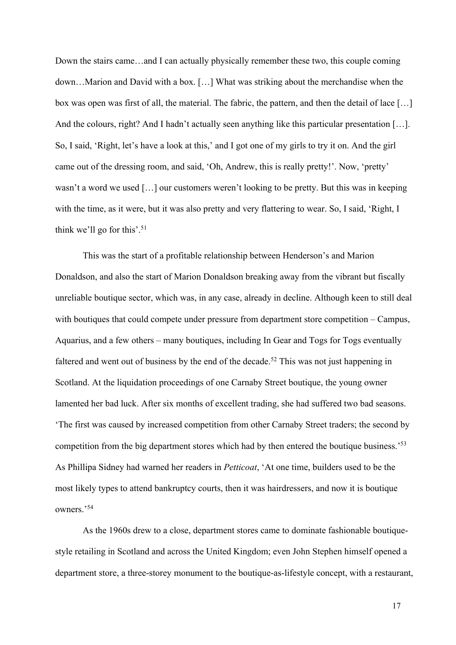Down the stairs came…and I can actually physically remember these two, this couple coming down…Marion and David with a box. […] What was striking about the merchandise when the box was open was first of all, the material. The fabric, the pattern, and then the detail of lace […] And the colours, right? And I hadn't actually seen anything like this particular presentation [...]. So, I said, 'Right, let's have a look at this,' and I got one of my girls to try it on. And the girl came out of the dressing room, and said, 'Oh, Andrew, this is really pretty!'. Now, 'pretty' wasn't a word we used […] our customers weren't looking to be pretty. But this was in keeping with the time, as it were, but it was also pretty and very flattering to wear. So, I said, 'Right, I think we'll go for this'. 51

This was the start of a profitable relationship between Henderson's and Marion Donaldson, and also the start of Marion Donaldson breaking away from the vibrant but fiscally unreliable boutique sector, which was, in any case, already in decline. Although keen to still deal with boutiques that could compete under pressure from department store competition – Campus, Aquarius, and a few others – many boutiques, including In Gear and Togs for Togs eventually faltered and went out of business by the end of the decade.<sup>52</sup> This was not just happening in Scotland. At the liquidation proceedings of one Carnaby Street boutique, the young owner lamented her bad luck. After six months of excellent trading, she had suffered two bad seasons. 'The first was caused by increased competition from other Carnaby Street traders; the second by competition from the big department stores which had by then entered the boutique business.'53 As Phillipa Sidney had warned her readers in *Petticoat*, 'At one time, builders used to be the most likely types to attend bankruptcy courts, then it was hairdressers, and now it is boutique owners.'54

As the 1960s drew to a close, department stores came to dominate fashionable boutiquestyle retailing in Scotland and across the United Kingdom; even John Stephen himself opened a department store, a three-storey monument to the boutique-as-lifestyle concept, with a restaurant,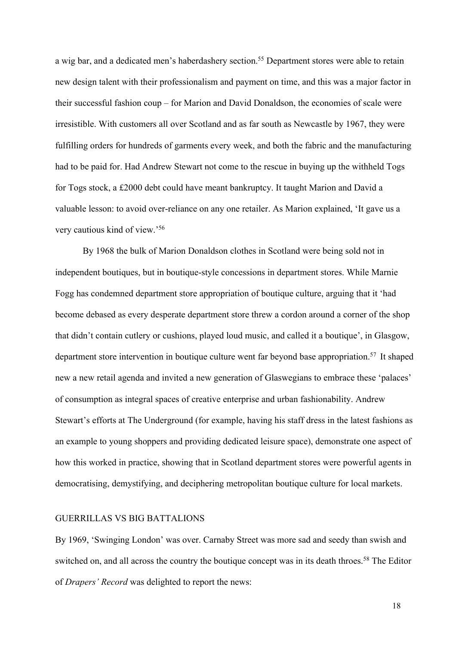a wig bar, and a dedicated men's haberdashery section.<sup>55</sup> Department stores were able to retain new design talent with their professionalism and payment on time, and this was a major factor in their successful fashion coup – for Marion and David Donaldson, the economies of scale were irresistible. With customers all over Scotland and as far south as Newcastle by 1967, they were fulfilling orders for hundreds of garments every week, and both the fabric and the manufacturing had to be paid for. Had Andrew Stewart not come to the rescue in buying up the withheld Togs for Togs stock, a £2000 debt could have meant bankruptcy. It taught Marion and David a valuable lesson: to avoid over-reliance on any one retailer. As Marion explained, 'It gave us a very cautious kind of view.'56

By 1968 the bulk of Marion Donaldson clothes in Scotland were being sold not in independent boutiques, but in boutique-style concessions in department stores. While Marnie Fogg has condemned department store appropriation of boutique culture, arguing that it 'had become debased as every desperate department store threw a cordon around a corner of the shop that didn't contain cutlery or cushions, played loud music, and called it a boutique', in Glasgow, department store intervention in boutique culture went far beyond base appropriation.<sup>57</sup> It shaped new a new retail agenda and invited a new generation of Glaswegians to embrace these 'palaces' of consumption as integral spaces of creative enterprise and urban fashionability. Andrew Stewart's efforts at The Underground (for example, having his staff dress in the latest fashions as an example to young shoppers and providing dedicated leisure space), demonstrate one aspect of how this worked in practice, showing that in Scotland department stores were powerful agents in democratising, demystifying, and deciphering metropolitan boutique culture for local markets.

#### GUERRILLAS VS BIG BATTALIONS

By 1969, 'Swinging London' was over. Carnaby Street was more sad and seedy than swish and switched on, and all across the country the boutique concept was in its death throes.<sup>58</sup> The Editor of *Drapers' Record* was delighted to report the news: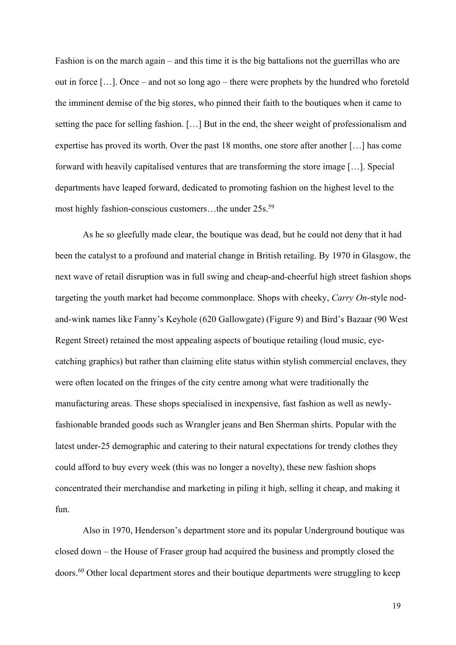Fashion is on the march again – and this time it is the big battalions not the guerrillas who are out in force […]. Once – and not so long ago – there were prophets by the hundred who foretold the imminent demise of the big stores, who pinned their faith to the boutiques when it came to setting the pace for selling fashion. […] But in the end, the sheer weight of professionalism and expertise has proved its worth. Over the past 18 months, one store after another […] has come forward with heavily capitalised ventures that are transforming the store image […]. Special departments have leaped forward, dedicated to promoting fashion on the highest level to the most highly fashion-conscious customers...the under 25s.<sup>59</sup>

As he so gleefully made clear, the boutique was dead, but he could not deny that it had been the catalyst to a profound and material change in British retailing. By 1970 in Glasgow, the next wave of retail disruption was in full swing and cheap-and-cheerful high street fashion shops targeting the youth market had become commonplace. Shops with cheeky, *Carry On*-style nodand-wink names like Fanny's Keyhole (620 Gallowgate) (Figure 9) and Bird's Bazaar (90 West Regent Street) retained the most appealing aspects of boutique retailing (loud music, eyecatching graphics) but rather than claiming elite status within stylish commercial enclaves, they were often located on the fringes of the city centre among what were traditionally the manufacturing areas. These shops specialised in inexpensive, fast fashion as well as newlyfashionable branded goods such as Wrangler jeans and Ben Sherman shirts. Popular with the latest under-25 demographic and catering to their natural expectations for trendy clothes they could afford to buy every week (this was no longer a novelty), these new fashion shops concentrated their merchandise and marketing in piling it high, selling it cheap, and making it fun.

Also in 1970, Henderson's department store and its popular Underground boutique was closed down – the House of Fraser group had acquired the business and promptly closed the doors.60 Other local department stores and their boutique departments were struggling to keep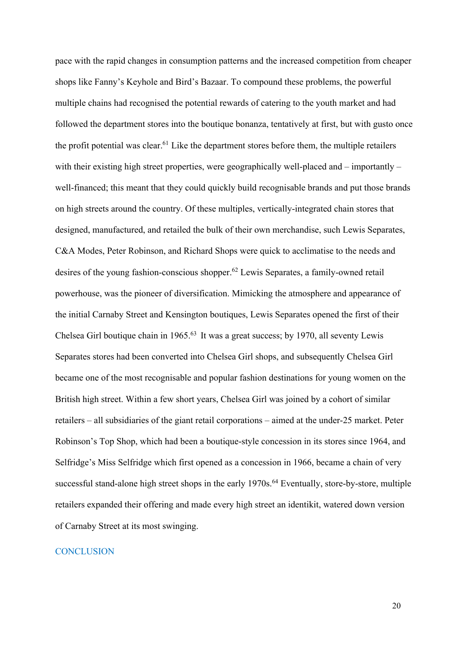pace with the rapid changes in consumption patterns and the increased competition from cheaper shops like Fanny's Keyhole and Bird's Bazaar. To compound these problems, the powerful multiple chains had recognised the potential rewards of catering to the youth market and had followed the department stores into the boutique bonanza, tentatively at first, but with gusto once the profit potential was clear.<sup>61</sup> Like the department stores before them, the multiple retailers with their existing high street properties, were geographically well-placed and – importantly – well-financed; this meant that they could quickly build recognisable brands and put those brands on high streets around the country. Of these multiples, vertically-integrated chain stores that designed, manufactured, and retailed the bulk of their own merchandise, such Lewis Separates, C&A Modes, Peter Robinson, and Richard Shops were quick to acclimatise to the needs and desires of the young fashion-conscious shopper.62 Lewis Separates, a family-owned retail powerhouse, was the pioneer of diversification. Mimicking the atmosphere and appearance of the initial Carnaby Street and Kensington boutiques, Lewis Separates opened the first of their Chelsea Girl boutique chain in 1965.63 It was a great success; by 1970, all seventy Lewis Separates stores had been converted into Chelsea Girl shops, and subsequently Chelsea Girl became one of the most recognisable and popular fashion destinations for young women on the British high street. Within a few short years, Chelsea Girl was joined by a cohort of similar retailers – all subsidiaries of the giant retail corporations – aimed at the under-25 market. Peter Robinson's Top Shop, which had been a boutique-style concession in its stores since 1964, and Selfridge's Miss Selfridge which first opened as a concession in 1966, became a chain of very successful stand-alone high street shops in the early 1970s.<sup>64</sup> Eventually, store-by-store, multiple retailers expanded their offering and made every high street an identikit, watered down version of Carnaby Street at its most swinging.

# **CONCLUSION**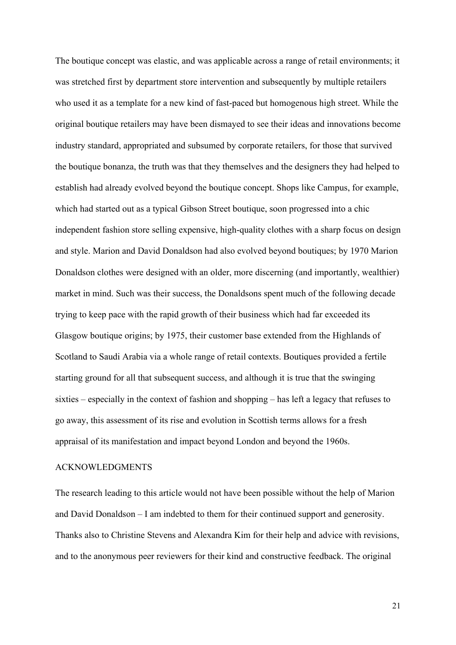The boutique concept was elastic, and was applicable across a range of retail environments; it was stretched first by department store intervention and subsequently by multiple retailers who used it as a template for a new kind of fast-paced but homogenous high street. While the original boutique retailers may have been dismayed to see their ideas and innovations become industry standard, appropriated and subsumed by corporate retailers, for those that survived the boutique bonanza, the truth was that they themselves and the designers they had helped to establish had already evolved beyond the boutique concept. Shops like Campus, for example, which had started out as a typical Gibson Street boutique, soon progressed into a chic independent fashion store selling expensive, high-quality clothes with a sharp focus on design and style. Marion and David Donaldson had also evolved beyond boutiques; by 1970 Marion Donaldson clothes were designed with an older, more discerning (and importantly, wealthier) market in mind. Such was their success, the Donaldsons spent much of the following decade trying to keep pace with the rapid growth of their business which had far exceeded its Glasgow boutique origins; by 1975, their customer base extended from the Highlands of Scotland to Saudi Arabia via a whole range of retail contexts. Boutiques provided a fertile starting ground for all that subsequent success, and although it is true that the swinging sixties – especially in the context of fashion and shopping – has left a legacy that refuses to go away, this assessment of its rise and evolution in Scottish terms allows for a fresh appraisal of its manifestation and impact beyond London and beyond the 1960s.

#### ACKNOWLEDGMENTS

The research leading to this article would not have been possible without the help of Marion and David Donaldson – I am indebted to them for their continued support and generosity. Thanks also to Christine Stevens and Alexandra Kim for their help and advice with revisions, and to the anonymous peer reviewers for their kind and constructive feedback. The original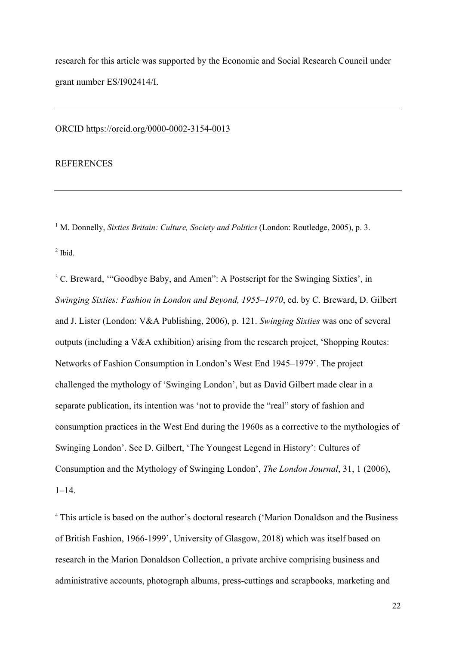research for this article was supported by the Economic and Social Research Council under grant number ES/I902414/I.

#### ORCID https://orcid.org/0000-0002-3154-0013

# **REFERENCES**

<sup>1</sup> M. Donnelly, *Sixties Britain: Culture, Society and Politics* (London: Routledge, 2005), p. 3.  $<sup>2</sup>$  Ibid.</sup>

<sup>3</sup> C. Breward, "Goodbye Baby, and Amen": A Postscript for the Swinging Sixties', in *Swinging Sixties: Fashion in London and Beyond, 1955–1970*, ed. by C. Breward, D. Gilbert and J. Lister (London: V&A Publishing, 2006), p. 121. *Swinging Sixties* was one of several outputs (including a V&A exhibition) arising from the research project, 'Shopping Routes: Networks of Fashion Consumption in London's West End 1945–1979'. The project challenged the mythology of 'Swinging London', but as David Gilbert made clear in a separate publication, its intention was 'not to provide the "real" story of fashion and consumption practices in the West End during the 1960s as a corrective to the mythologies of Swinging London'. See D. Gilbert, 'The Youngest Legend in History': Cultures of Consumption and the Mythology of Swinging London', *The London Journal*, 31, 1 (2006), 1–14.

<sup>4</sup> This article is based on the author's doctoral research ('Marion Donaldson and the Business of British Fashion, 1966-1999', University of Glasgow, 2018) which was itself based on research in the Marion Donaldson Collection, a private archive comprising business and administrative accounts, photograph albums, press-cuttings and scrapbooks, marketing and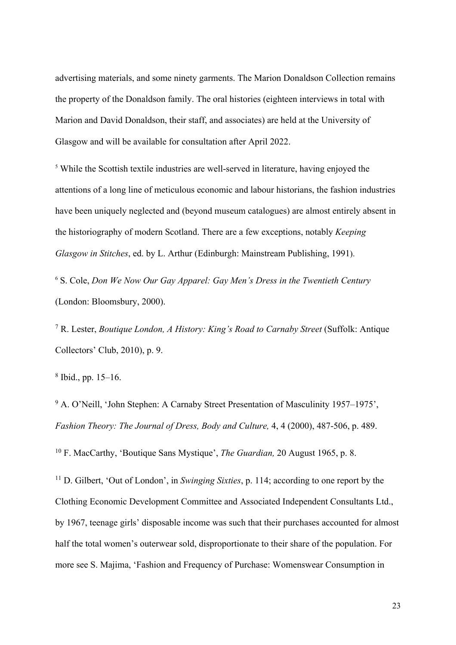advertising materials, and some ninety garments. The Marion Donaldson Collection remains the property of the Donaldson family. The oral histories (eighteen interviews in total with Marion and David Donaldson, their staff, and associates) are held at the University of Glasgow and will be available for consultation after April 2022.

<sup>5</sup> While the Scottish textile industries are well-served in literature, having enjoyed the attentions of a long line of meticulous economic and labour historians, the fashion industries have been uniquely neglected and (beyond museum catalogues) are almost entirely absent in the historiography of modern Scotland. There are a few exceptions, notably *Keeping Glasgow in Stitches*, ed. by L. Arthur (Edinburgh: Mainstream Publishing, 1991).

<sup>6</sup> S. Cole, *Don We Now Our Gay Apparel: Gay Men's Dress in the Twentieth Century* (London: Bloomsbury, 2000).

<sup>7</sup> R. Lester, *Boutique London, A History: King's Road to Carnaby Street* (Suffolk: Antique Collectors' Club, 2010), p. 9.

<sup>8</sup> Ibid., pp. 15–16.

<sup>9</sup> A. O'Neill, 'John Stephen: A Carnaby Street Presentation of Masculinity 1957–1975', *Fashion Theory: The Journal of Dress, Body and Culture,* 4, 4 (2000), 487-506, p. 489.

<sup>10</sup> F. MacCarthy, 'Boutique Sans Mystique', *The Guardian,* 20 August 1965, p. 8.

<sup>11</sup> D. Gilbert, 'Out of London', in *Swinging Sixties*, p. 114; according to one report by the Clothing Economic Development Committee and Associated Independent Consultants Ltd., by 1967, teenage girls' disposable income was such that their purchases accounted for almost half the total women's outerwear sold, disproportionate to their share of the population. For more see S. Majima, 'Fashion and Frequency of Purchase: Womenswear Consumption in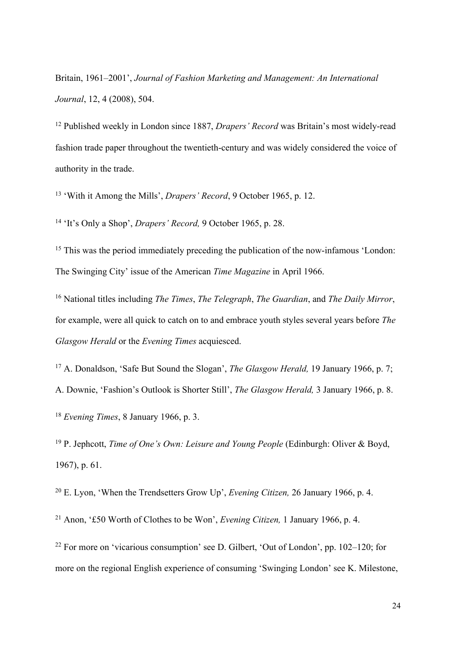Britain, 1961–2001', *Journal of Fashion Marketing and Management: An International Journal*, 12, 4 (2008), 504.

<sup>12</sup> Published weekly in London since 1887, *Drapers' Record* was Britain's most widely-read fashion trade paper throughout the twentieth-century and was widely considered the voice of authority in the trade.

<sup>13</sup> 'With it Among the Mills', *Drapers' Record*, 9 October 1965, p. 12.

<sup>14</sup> 'It's Only a Shop', *Drapers' Record,* 9 October 1965, p. 28.

<sup>15</sup> This was the period immediately preceding the publication of the now-infamous 'London: The Swinging City' issue of the American *Time Magazine* in April 1966.

<sup>16</sup> National titles including *The Times*, *The Telegraph*, *The Guardian*, and *The Daily Mirror*, for example, were all quick to catch on to and embrace youth styles several years before *The Glasgow Herald* or the *Evening Times* acquiesced.

<sup>17</sup> A. Donaldson, 'Safe But Sound the Slogan', *The Glasgow Herald,* 19 January 1966, p. 7; A. Downie, 'Fashion's Outlook is Shorter Still', *The Glasgow Herald,* 3 January 1966, p. 8.

<sup>18</sup> *Evening Times*, 8 January 1966, p. 3.

<sup>19</sup> P. Jephcott, *Time of One's Own: Leisure and Young People* (Edinburgh: Oliver & Boyd, 1967), p. 61.

<sup>20</sup> E. Lyon, 'When the Trendsetters Grow Up', *Evening Citizen,* 26 January 1966, p. 4.

<sup>21</sup> Anon, '£50 Worth of Clothes to be Won', *Evening Citizen,* 1 January 1966, p. 4.

<sup>22</sup> For more on 'vicarious consumption' see D. Gilbert, 'Out of London', pp. 102–120; for more on the regional English experience of consuming 'Swinging London' see K. Milestone,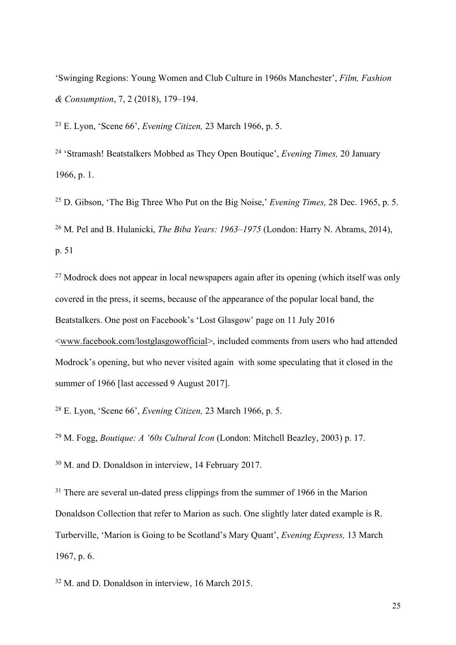'Swinging Regions: Young Women and Club Culture in 1960s Manchester', *Film, Fashion & Consumption*, 7, 2 (2018), 179–194.

<sup>23</sup> E. Lyon, 'Scene 66', *Evening Citizen,* 23 March 1966, p. 5.

<sup>24</sup> 'Stramash! Beatstalkers Mobbed as They Open Boutique', *Evening Times,* 20 January 1966, p. 1.

<sup>25</sup> D. Gibson, 'The Big Three Who Put on the Big Noise,' *Evening Times,* 28 Dec. 1965, p. 5. <sup>26</sup> M. Pel and B. Hulanicki, *The Biba Years: 1963–1975* (London: Harry N. Abrams, 2014), p. 51

<sup>27</sup> Modrock does not appear in local newspapers again after its opening (which itself was only covered in the press, it seems, because of the appearance of the popular local band, the Beatstalkers. One post on Facebook's 'Lost Glasgow' page on 11 July 2016 <www.facebook.com/lostglasgowofficial>, included comments from users who had attended Modrock's opening, but who never visited again with some speculating that it closed in the summer of 1966 [last accessed 9 August 2017].

<sup>28</sup> E. Lyon, 'Scene 66', *Evening Citizen,* 23 March 1966, p. 5.

<sup>29</sup> M. Fogg, *Boutique: A '60s Cultural Icon* (London: Mitchell Beazley, 2003) p. 17.

<sup>30</sup> M. and D. Donaldson in interview, 14 February 2017.

<sup>31</sup> There are several un-dated press clippings from the summer of 1966 in the Marion Donaldson Collection that refer to Marion as such. One slightly later dated example is R. Turberville, 'Marion is Going to be Scotland's Mary Quant', *Evening Express,* 13 March 1967, p. 6.

<sup>32</sup> M. and D. Donaldson in interview, 16 March 2015.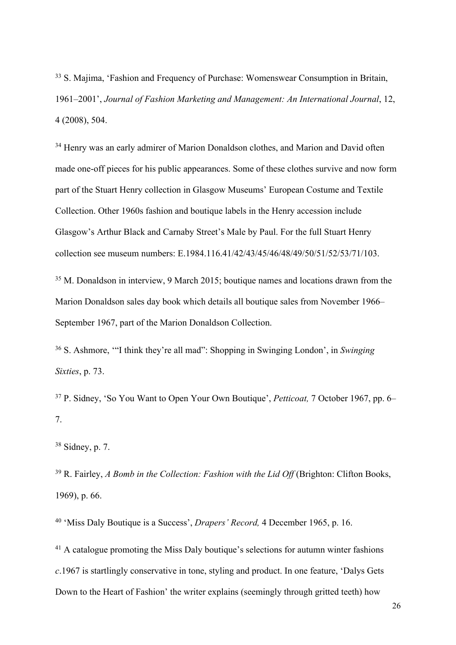<sup>33</sup> S. Majima, 'Fashion and Frequency of Purchase: Womenswear Consumption in Britain, 1961–2001', *Journal of Fashion Marketing and Management: An International Journal*, 12, 4 (2008), 504.

<sup>34</sup> Henry was an early admirer of Marion Donaldson clothes, and Marion and David often made one-off pieces for his public appearances. Some of these clothes survive and now form part of the Stuart Henry collection in Glasgow Museums' European Costume and Textile Collection. Other 1960s fashion and boutique labels in the Henry accession include Glasgow's Arthur Black and Carnaby Street's Male by Paul. For the full Stuart Henry collection see museum numbers: E.1984.116.41/42/43/45/46/48/49/50/51/52/53/71/103.

<sup>35</sup> M. Donaldson in interview, 9 March 2015; boutique names and locations drawn from the Marion Donaldson sales day book which details all boutique sales from November 1966– September 1967, part of the Marion Donaldson Collection.

<sup>36</sup> S. Ashmore, '"I think they're all mad": Shopping in Swinging London', in *Swinging Sixties*, p. 73.

<sup>37</sup> P. Sidney, 'So You Want to Open Your Own Boutique', *Petticoat,* 7 October 1967, pp. 6– 7.

<sup>38</sup> Sidney, p. 7.

<sup>39</sup> R. Fairley, *A Bomb in the Collection: Fashion with the Lid Off* (Brighton: Clifton Books, 1969), p. 66.

<sup>40</sup> 'Miss Daly Boutique is a Success', *Drapers' Record,* 4 December 1965, p. 16.

<sup>41</sup> A catalogue promoting the Miss Daly boutique's selections for autumn winter fashions *c*.1967 is startlingly conservative in tone, styling and product. In one feature, 'Dalys Gets Down to the Heart of Fashion' the writer explains (seemingly through gritted teeth) how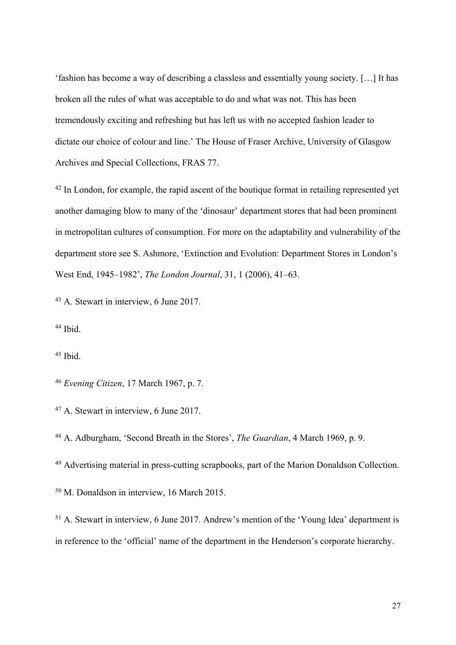'fashion has become a way of describing a classless and essentially young society. […] It has broken all the rules of what was acceptable to do and what was not. This has been tremendously exciting and refreshing but has left us with no accepted fashion leader to dictate our choice of colour and line.' The House of Fraser Archive, University of Glasgow Archives and Special Collections, FRAS 77.

<sup>42</sup> In London, for example, the rapid ascent of the boutique format in retailing represented yet another damaging blow to many of the 'dinosaur' department stores that had been prominent in metropolitan cultures of consumption. For more on the adaptability and vulnerability of the department store see S. Ashmore, 'Extinction and Evolution: Department Stores in London's West End, 1945–1982', *The London Journal*, 31, 1 (2006), 41–63.

<sup>43</sup> A. Stewart in interview, 6 June 2017.

<sup>44</sup> Ibid.

 $45$  Ibid.

<sup>46</sup> *Evening Citizen*, 17 March 1967, p. 7.

<sup>47</sup> A. Stewart in interview, 6 June 2017.

<sup>48</sup> A. Adburgham, 'Second Breath in the Stores', *The Guardian*, 4 March 1969, p. 9.

<sup>49</sup> Advertising material in press-cutting scrapbooks, part of the Marion Donaldson Collection.

<sup>50</sup> M. Donaldson in interview, 16 March 2015.

<sup>51</sup> A. Stewart in interview, 6 June 2017. Andrew's mention of the 'Young Idea' department is in reference to the 'official' name of the department in the Henderson's corporate hierarchy.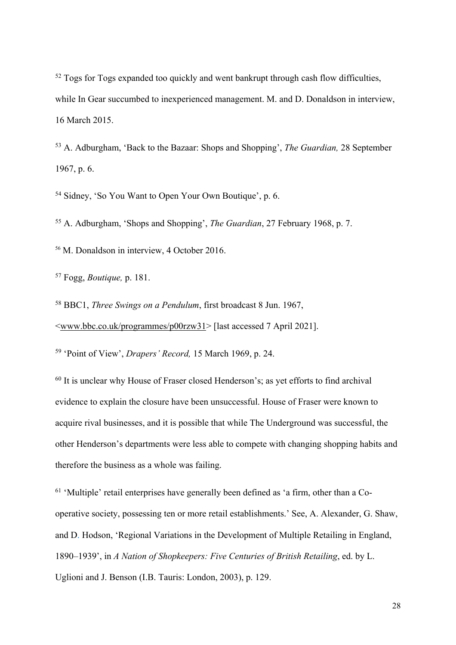<sup>52</sup> Togs for Togs expanded too quickly and went bankrupt through cash flow difficulties, while In Gear succumbed to inexperienced management. M. and D. Donaldson in interview, 16 March 2015.

<sup>53</sup> A. Adburgham, 'Back to the Bazaar: Shops and Shopping', *The Guardian,* 28 September 1967, p. 6.

<sup>54</sup> Sidney, 'So You Want to Open Your Own Boutique', p. 6.

<sup>55</sup> A. Adburgham, 'Shops and Shopping', *The Guardian*, 27 February 1968, p. 7.

<sup>56</sup> M. Donaldson in interview, 4 October 2016.

<sup>57</sup> Fogg, *Boutique,* p. 181.

<sup>58</sup> BBC1, *Three Swings on a Pendulum*, first broadcast 8 Jun. 1967, <www.bbc.co.uk/programmes/p00rzw31> [last accessed 7 April 2021].

<sup>59</sup> 'Point of View', *Drapers' Record,* 15 March 1969, p. 24.

<sup>60</sup> It is unclear why House of Fraser closed Henderson's; as yet efforts to find archival evidence to explain the closure have been unsuccessful. House of Fraser were known to acquire rival businesses, and it is possible that while The Underground was successful, the other Henderson's departments were less able to compete with changing shopping habits and therefore the business as a whole was failing.

 $61$  'Multiple' retail enterprises have generally been defined as 'a firm, other than a Cooperative society, possessing ten or more retail establishments.' See, A. Alexander, G. Shaw, and D. Hodson, 'Regional Variations in the Development of Multiple Retailing in England, 1890–1939', in *A Nation of Shopkeepers: Five Centuries of British Retailing*, ed. by L.

Uglioni and J. Benson (I.B. Tauris: London, 2003), p. 129.